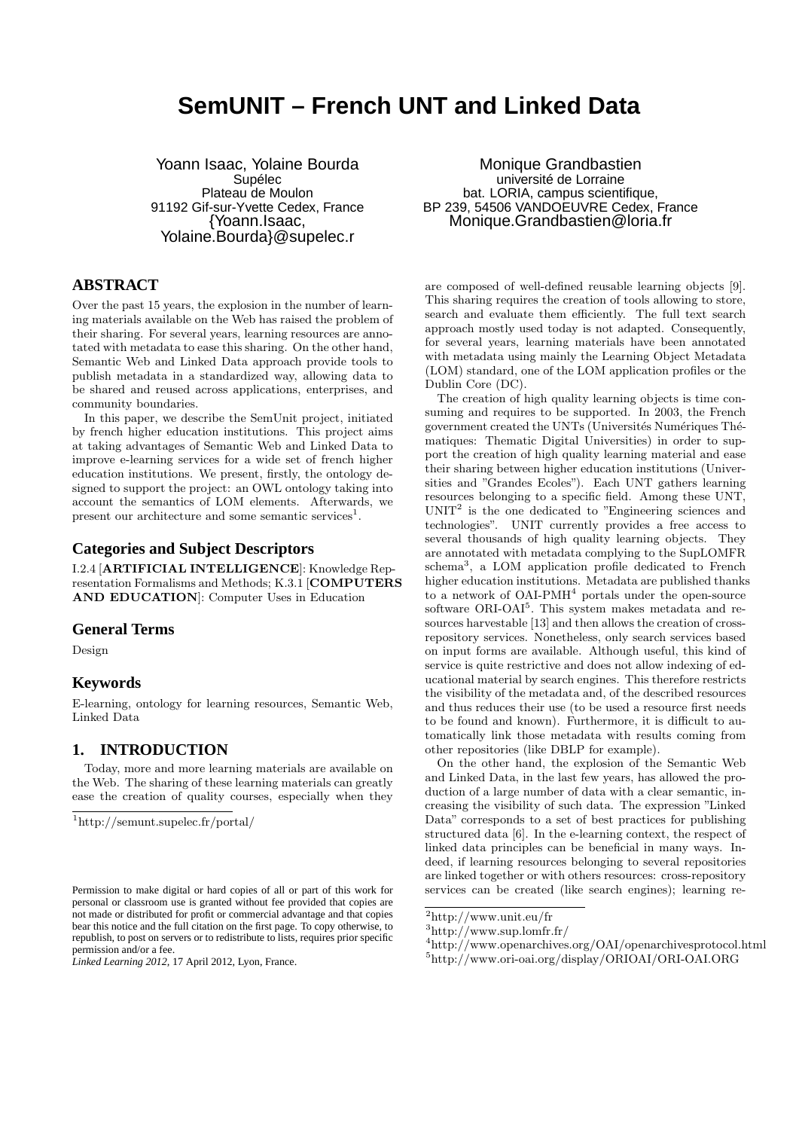# **SemUNIT – French UNT and Linked Data**

Yoann Isaac, Yolaine Bourda Supélec Plateau de Moulon 91192 Gif-sur-Yvette Cedex, France {Yoann.Isaac, Yolaine.Bourda}@supelec.r

# **ABSTRACT**

Over the past 15 years, the explosion in the number of learning materials available on the Web has raised the problem of their sharing. For several years, learning resources are annotated with metadata to ease this sharing. On the other hand, Semantic Web and Linked Data approach provide tools to publish metadata in a standardized way, allowing data to be shared and reused across applications, enterprises, and community boundaries.

In this paper, we describe the SemUnit project, initiated by french higher education institutions. This project aims at taking advantages of Semantic Web and Linked Data to improve e-learning services for a wide set of french higher education institutions. We present, firstly, the ontology designed to support the project: an OWL ontology taking into account the semantics of LOM elements. Afterwards, we present our architecture and some semantic services<sup>1</sup>.

# **Categories and Subject Descriptors**

I.2.4 [ARTIFICIAL INTELLIGENCE]: Knowledge Representation Formalisms and Methods; K.3.1 [COMPUTERS AND EDUCATION]: Computer Uses in Education

# **General Terms**

Design

# **Keywords**

E-learning, ontology for learning resources, Semantic Web, Linked Data

# **1. INTRODUCTION**

Today, more and more learning materials are available on the Web. The sharing of these learning materials can greatly ease the creation of quality courses, especially when they

Monique Grandbastien université de Lorraine bat. LORIA, campus scientifique, BP 239, 54506 VANDOEUVRE Cedex, France Monique.Grandbastien@loria.fr

are composed of well-defined reusable learning objects [9]. This sharing requires the creation of tools allowing to store, search and evaluate them efficiently. The full text search approach mostly used today is not adapted. Consequently, for several years, learning materials have been annotated with metadata using mainly the Learning Object Metadata (LOM) standard, one of the LOM application profiles or the Dublin Core (DC).

The creation of high quality learning objects is time consuming and requires to be supported. In 2003, the French government created the UNTs (Universités Numériques Thématiques: Thematic Digital Universities) in order to support the creation of high quality learning material and ease their sharing between higher education institutions (Universities and "Grandes Ecoles"). Each UNT gathers learning resources belonging to a specific field. Among these UNT,  $UNIT<sup>2</sup>$  is the one dedicated to "Engineering sciences and technologies". UNIT currently provides a free access to several thousands of high quality learning objects. They are annotated with metadata complying to the SupLOMFR schema<sup>3</sup>, a LOM application profile dedicated to French higher education institutions. Metadata are published thanks to a network of OAI-PMH<sup>4</sup> portals under the open-source software ORI-OAI<sup>5</sup>. This system makes metadata and resources harvestable [13] and then allows the creation of crossrepository services. Nonetheless, only search services based on input forms are available. Although useful, this kind of service is quite restrictive and does not allow indexing of educational material by search engines. This therefore restricts the visibility of the metadata and, of the described resources and thus reduces their use (to be used a resource first needs to be found and known). Furthermore, it is difficult to automatically link those metadata with results coming from other repositories (like DBLP for example).

On the other hand, the explosion of the Semantic Web and Linked Data, in the last few years, has allowed the production of a large number of data with a clear semantic, increasing the visibility of such data. The expression "Linked Data" corresponds to a set of best practices for publishing structured data [6]. In the e-learning context, the respect of linked data principles can be beneficial in many ways. Indeed, if learning resources belonging to several repositories are linked together or with others resources: cross-repository services can be created (like search engines); learning re-

<sup>1</sup>http://semunt.supelec.fr/portal/

Permission to make digital or hard copies of all or part of this work for personal or classroom use is granted without fee provided that copies are not made or distributed for profit or commercial advantage and that copies bear this notice and the full citation on the first page. To copy otherwise, to republish, to post on servers or to redistribute to lists, requires prior specific permission and/or a fee.

*Linked Learning 2012,* 17 April 2012, Lyon, France.

<sup>2</sup>http://www.unit.eu/fr

 $3$ http://www.sup.lomfr.fr/

 $^4$ http://www.openarchives.org/OAI/openarchivesprotocol.html

<sup>5</sup>http://www.ori-oai.org/display/ORIOAI/ORI-OAI.ORG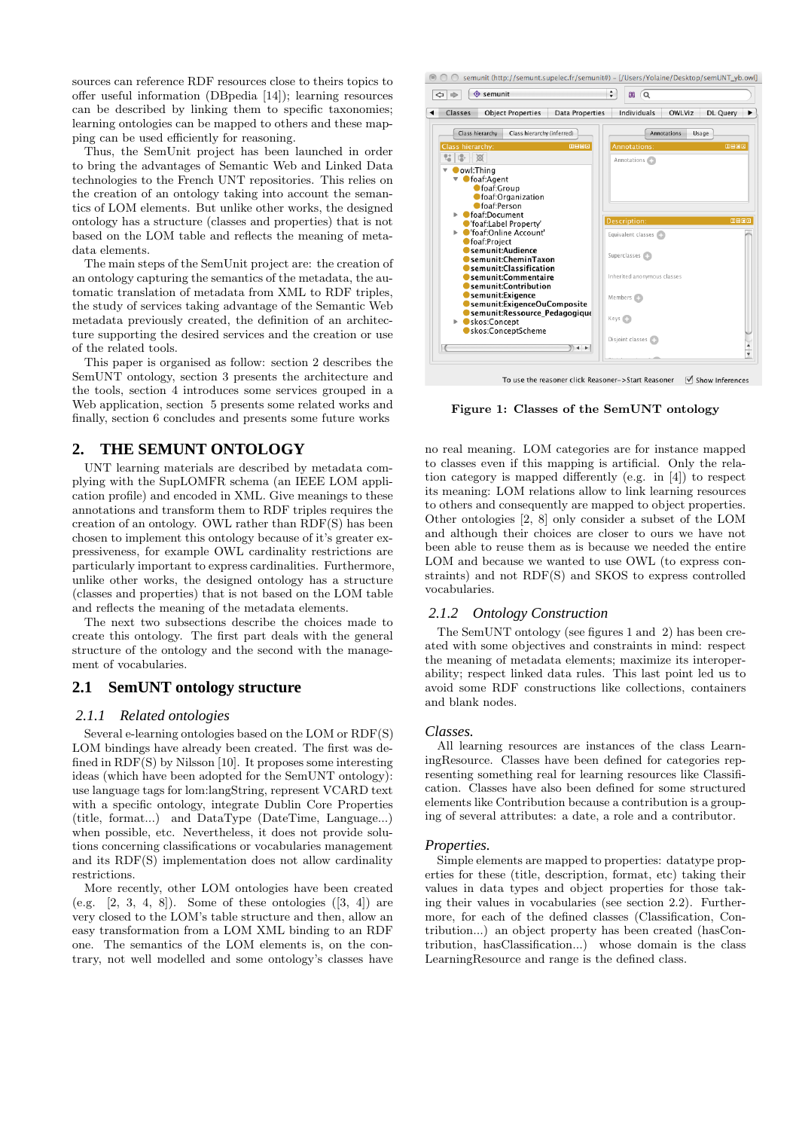sources can reference RDF resources close to theirs topics to offer useful information (DBpedia [14]); learning resources can be described by linking them to specific taxonomies; learning ontologies can be mapped to others and these mapping can be used efficiently for reasoning.

Thus, the SemUnit project has been launched in order to bring the advantages of Semantic Web and Linked Data technologies to the French UNT repositories. This relies on the creation of an ontology taking into account the semantics of LOM elements. But unlike other works, the designed ontology has a structure (classes and properties) that is not based on the LOM table and reflects the meaning of metadata elements.

The main steps of the SemUnit project are: the creation of an ontology capturing the semantics of the metadata, the automatic translation of metadata from XML to RDF triples, the study of services taking advantage of the Semantic Web metadata previously created, the definition of an architecture supporting the desired services and the creation or use of the related tools.

This paper is organised as follow: section 2 describes the SemUNT ontology, section 3 presents the architecture and the tools, section 4 introduces some services grouped in a Web application, section 5 presents some related works and finally, section 6 concludes and presents some future works

# **2. THE SEMUNT ONTOLOGY**

UNT learning materials are described by metadata complying with the SupLOMFR schema (an IEEE LOM application profile) and encoded in XML. Give meanings to these annotations and transform them to RDF triples requires the creation of an ontology. OWL rather than RDF(S) has been chosen to implement this ontology because of it's greater expressiveness, for example OWL cardinality restrictions are particularly important to express cardinalities. Furthermore, unlike other works, the designed ontology has a structure (classes and properties) that is not based on the LOM table and reflects the meaning of the metadata elements.

The next two subsections describe the choices made to create this ontology. The first part deals with the general structure of the ontology and the second with the management of vocabularies.

# **2.1 SemUNT ontology structure**

# *2.1.1 Related ontologies*

Several e-learning ontologies based on the LOM or RDF(S) LOM bindings have already been created. The first was defined in RDF(S) by Nilsson [10]. It proposes some interesting ideas (which have been adopted for the SemUNT ontology): use language tags for lom:langString, represent VCARD text with a specific ontology, integrate Dublin Core Properties (title, format...) and DataType (DateTime, Language...) when possible, etc. Nevertheless, it does not provide solutions concerning classifications or vocabularies management and its RDF(S) implementation does not allow cardinality restrictions.

More recently, other LOM ontologies have been created (e.g.  $[2, 3, 4, 8]$ ). Some of these ontologies  $([3, 4])$  are very closed to the LOM's table structure and then, allow an easy transformation from a LOM XML binding to an RDF one. The semantics of the LOM elements is, on the contrary, not well modelled and some ontology's classes have



To use the reasoner click Reasoner->Start Reasoner √ Show Inferences

Figure 1: Classes of the SemUNT ontology

no real meaning. LOM categories are for instance mapped to classes even if this mapping is artificial. Only the relation category is mapped differently (e.g. in [4]) to respect its meaning: LOM relations allow to link learning resources to others and consequently are mapped to object properties. Other ontologies [2, 8] only consider a subset of the LOM and although their choices are closer to ours we have not been able to reuse them as is because we needed the entire LOM and because we wanted to use OWL (to express constraints) and not RDF(S) and SKOS to express controlled vocabularies.

### *2.1.2 Ontology Construction*

The SemUNT ontology (see figures 1 and 2) has been created with some objectives and constraints in mind: respect the meaning of metadata elements; maximize its interoperability; respect linked data rules. This last point led us to avoid some RDF constructions like collections, containers and blank nodes.

#### *Classes.*

All learning resources are instances of the class LearningResource. Classes have been defined for categories representing something real for learning resources like Classification. Classes have also been defined for some structured elements like Contribution because a contribution is a grouping of several attributes: a date, a role and a contributor.

#### *Properties.*

Simple elements are mapped to properties: datatype properties for these (title, description, format, etc) taking their values in data types and object properties for those taking their values in vocabularies (see section 2.2). Furthermore, for each of the defined classes (Classification, Contribution...) an object property has been created (hasContribution, hasClassification...) whose domain is the class LearningResource and range is the defined class.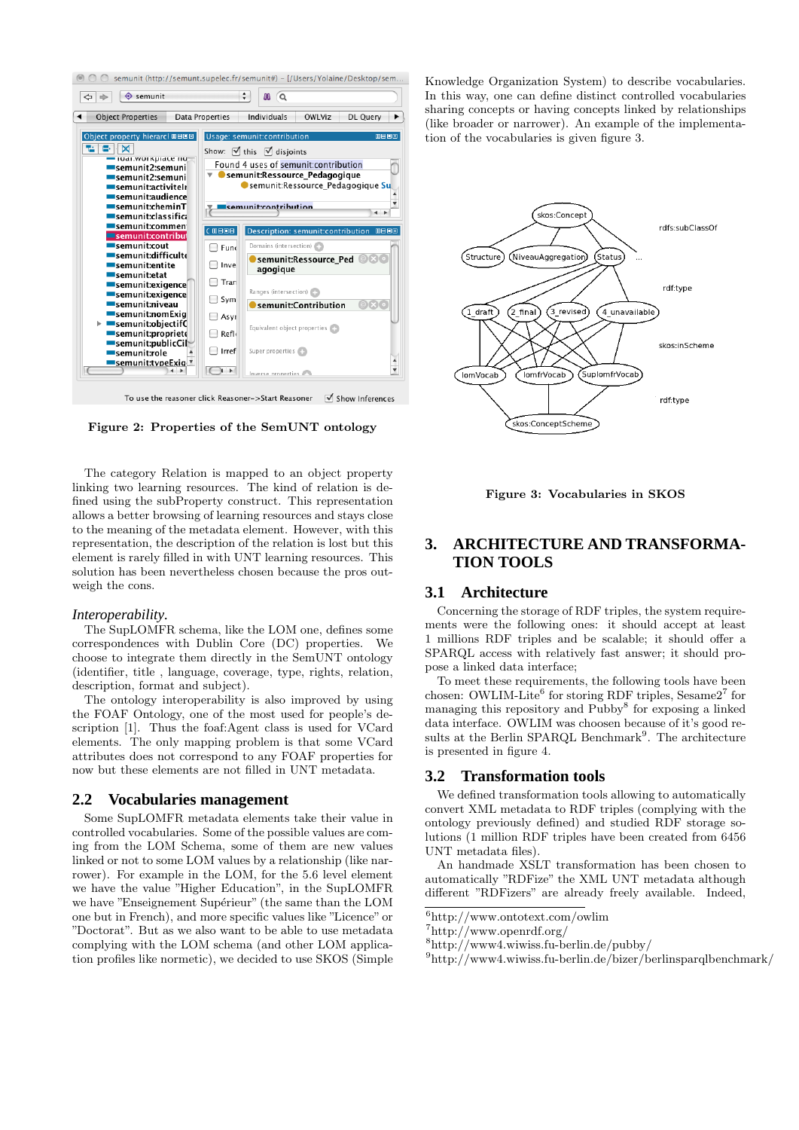

Figure 2: Properties of the SemUNT ontology

The category Relation is mapped to an object property linking two learning resources. The kind of relation is defined using the subProperty construct. This representation allows a better browsing of learning resources and stays close to the meaning of the metadata element. However, with this representation, the description of the relation is lost but this element is rarely filled in with UNT learning resources. This solution has been nevertheless chosen because the pros outweigh the cons.

# *Interoperability.*

The SupLOMFR schema, like the LOM one, defines some correspondences with Dublin Core (DC) properties. We choose to integrate them directly in the SemUNT ontology (identifier, title , language, coverage, type, rights, relation, description, format and subject).

The ontology interoperability is also improved by using the FOAF Ontology, one of the most used for people's description [1]. Thus the foaf:Agent class is used for VCard elements. The only mapping problem is that some VCard attributes does not correspond to any FOAF properties for now but these elements are not filled in UNT metadata.

### **2.2 Vocabularies management**

Some SupLOMFR metadata elements take their value in controlled vocabularies. Some of the possible values are coming from the LOM Schema, some of them are new values linked or not to some LOM values by a relationship (like narrower). For example in the LOM, for the 5.6 level element we have the value "Higher Education", in the SupLOMFR we have "Enseignement Supérieur" (the same than the LOM one but in French), and more specific values like "Licence" or "Doctorat". But as we also want to be able to use metadata complying with the LOM schema (and other LOM application profiles like normetic), we decided to use SKOS (Simple

Knowledge Organization System) to describe vocabularies. In this way, one can define distinct controlled vocabularies sharing concepts or having concepts linked by relationships (like broader or narrower). An example of the implementation of the vocabularies is given figure 3.



Figure 3: Vocabularies in SKOS

# **3. ARCHITECTURE AND TRANSFORMA-TION TOOLS**

### **3.1 Architecture**

Concerning the storage of RDF triples, the system requirements were the following ones: it should accept at least 1 millions RDF triples and be scalable; it should offer a SPARQL access with relatively fast answer; it should propose a linked data interface;

To meet these requirements, the following tools have been chosen: OWLIM-Lite<sup>6</sup> for storing RDF triples, Sesame2<sup>7</sup> for managing this repository and Pubby<sup>8</sup> for exposing a linked data interface. OWLIM was choosen because of it's good results at the Berlin SPARQL Benchmark<sup>9</sup>. The architecture is presented in figure 4.

### **3.2 Transformation tools**

We defined transformation tools allowing to automatically convert XML metadata to RDF triples (complying with the ontology previously defined) and studied RDF storage solutions (1 million RDF triples have been created from 6456 UNT metadata files).

An handmade XSLT transformation has been chosen to automatically "RDFize" the XML UNT metadata although different "RDFizers" are already freely available. Indeed,

<sup>6</sup>http://www.ontotext.com/owlim

<sup>7</sup>http://www.openrdf.org/

<sup>8</sup>http://www4.wiwiss.fu-berlin.de/pubby/

 $^{9}$ http://www4.wiwiss.fu-berlin.de/bizer/berlinsparqlbenchmark/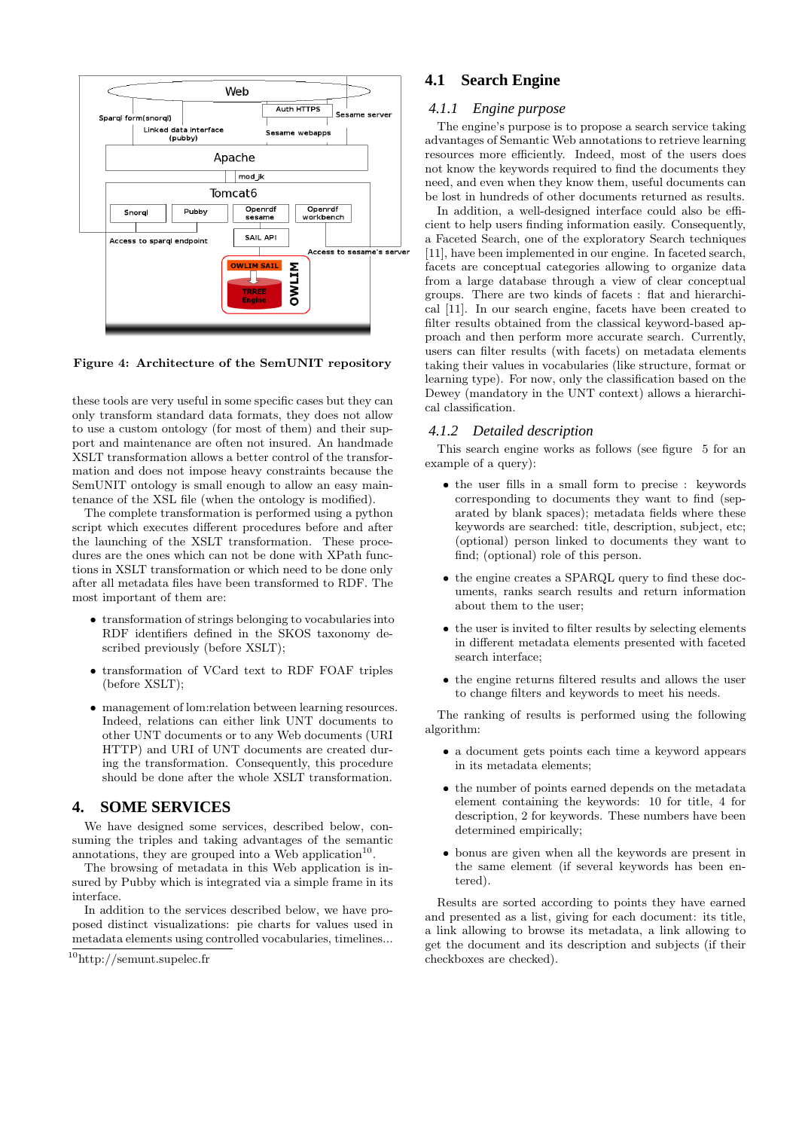

Figure 4: Architecture of the SemUNIT repository

these tools are very useful in some specific cases but they can only transform standard data formats, they does not allow to use a custom ontology (for most of them) and their support and maintenance are often not insured. An handmade XSLT transformation allows a better control of the transformation and does not impose heavy constraints because the SemUNIT ontology is small enough to allow an easy maintenance of the XSL file (when the ontology is modified).

The complete transformation is performed using a python script which executes different procedures before and after the launching of the XSLT transformation. These procedures are the ones which can not be done with XPath functions in XSLT transformation or which need to be done only after all metadata files have been transformed to RDF. The most important of them are:

- transformation of strings belonging to vocabularies into RDF identifiers defined in the SKOS taxonomy described previously (before XSLT);
- transformation of VCard text to RDF FOAF triples (before XSLT);
- management of lom:relation between learning resources. Indeed, relations can either link UNT documents to other UNT documents or to any Web documents (URI HTTP) and URI of UNT documents are created during the transformation. Consequently, this procedure should be done after the whole XSLT transformation.

# **4. SOME SERVICES**

We have designed some services, described below, consuming the triples and taking advantages of the semantic annotations, they are grouped into a Web application<sup>10</sup>.

The browsing of metadata in this Web application is insured by Pubby which is integrated via a simple frame in its interface.

In addition to the services described below, we have proposed distinct visualizations: pie charts for values used in metadata elements using controlled vocabularies, timelines...

# **4.1 Search Engine**

### *4.1.1 Engine purpose*

The engine's purpose is to propose a search service taking advantages of Semantic Web annotations to retrieve learning resources more efficiently. Indeed, most of the users does not know the keywords required to find the documents they need, and even when they know them, useful documents can be lost in hundreds of other documents returned as results.

In addition, a well-designed interface could also be efficient to help users finding information easily. Consequently, a Faceted Search, one of the exploratory Search techniques [11], have been implemented in our engine. In faceted search, facets are conceptual categories allowing to organize data from a large database through a view of clear conceptual groups. There are two kinds of facets : flat and hierarchical [11]. In our search engine, facets have been created to filter results obtained from the classical keyword-based approach and then perform more accurate search. Currently, users can filter results (with facets) on metadata elements taking their values in vocabularies (like structure, format or learning type). For now, only the classification based on the Dewey (mandatory in the UNT context) allows a hierarchical classification.

### *4.1.2 Detailed description*

This search engine works as follows (see figure 5 for an example of a query):

- the user fills in a small form to precise : keywords corresponding to documents they want to find (separated by blank spaces); metadata fields where these keywords are searched: title, description, subject, etc; (optional) person linked to documents they want to find; (optional) role of this person.
- the engine creates a SPARQL query to find these documents, ranks search results and return information about them to the user;
- the user is invited to filter results by selecting elements in different metadata elements presented with faceted search interface;
- the engine returns filtered results and allows the user to change filters and keywords to meet his needs.

The ranking of results is performed using the following algorithm:

- a document gets points each time a keyword appears in its metadata elements;
- the number of points earned depends on the metadata element containing the keywords: 10 for title, 4 for description, 2 for keywords. These numbers have been determined empirically;
- bonus are given when all the keywords are present in the same element (if several keywords has been entered).

Results are sorted according to points they have earned and presented as a list, giving for each document: its title, a link allowing to browse its metadata, a link allowing to get the document and its description and subjects (if their checkboxes are checked).

<sup>10</sup>http://semunt.supelec.fr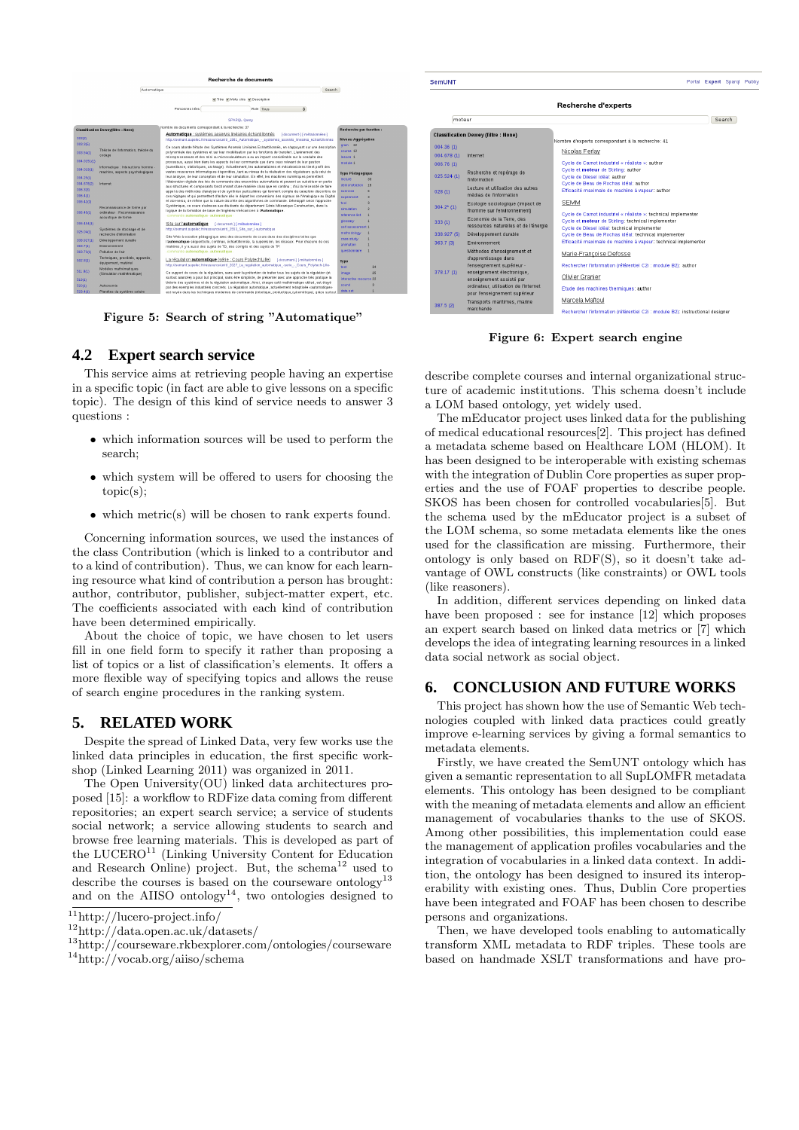

Figure 5: Search of string "Automatique"

# **4.2 Expert search service**

This service aims at retrieving people having an expertise in a specific topic (in fact are able to give lessons on a specific topic). The design of this kind of service needs to answer 3 questions :

- which information sources will be used to perform the search;
- which system will be offered to users for choosing the topic(s);
- which metric(s) will be chosen to rank experts found.

Concerning information sources, we used the instances of the class Contribution (which is linked to a contributor and to a kind of contribution). Thus, we can know for each learning resource what kind of contribution a person has brought: author, contributor, publisher, subject-matter expert, etc. The coefficients associated with each kind of contribution have been determined empirically.

About the choice of topic, we have chosen to let users fill in one field form to specify it rather than proposing a list of topics or a list of classification's elements. It offers a more flexible way of specifying topics and allows the reuse of search engine procedures in the ranking system.

### **5. RELATED WORK**

Despite the spread of Linked Data, very few works use the linked data principles in education, the first specific workshop (Linked Learning 2011) was organized in 2011.

The Open University(OU) linked data architectures proposed [15]: a workflow to RDFize data coming from different repositories; an expert search service; a service of students social network; a service allowing students to search and browse free learning materials. This is developed as part of the LUCERO<sup>11</sup> (Linking University Content for Education and Research Online) project. But, the schema $^{12}$  used to describe the courses is based on the courseware ontology<sup>13</sup> and on the AIISO ontology<sup>14</sup>, two ontologies designed to

| <b>SemUNT</b> |                                                                        | Portal                                                                                             | <b>Expert</b> Sparol Publ |  |
|---------------|------------------------------------------------------------------------|----------------------------------------------------------------------------------------------------|---------------------------|--|
|               |                                                                        | Recherche d'experts                                                                                |                           |  |
| moteur        |                                                                        |                                                                                                    | Search                    |  |
|               | <b>Classification Dewey (filtre: None)</b>                             |                                                                                                    |                           |  |
| 004.36(1)     |                                                                        | Nombre d'experts correspondant à la recherche: 41                                                  |                           |  |
| 004.678(1)    | Internet                                                               | Nicolas Ferlav                                                                                     |                           |  |
| 006.76(1)     |                                                                        | Cycle de Carnot industriel « réaliste »; author                                                    |                           |  |
| 025.524(1)    | Recherche et repérage de<br>l'information                              | Cycle et moteur de Stirling: author<br>Cycle de Diesel idéal: author                               |                           |  |
| 028(1)        | Lecture et utilisation des autres<br>médias de l'information           | Cycle de Beau de Rochas idéal: author<br>Efficacité maximale de machine à vapeur: author           |                           |  |
| $304.2*(1)$   | Ecologie sociologique (impact de<br>I'homme sur l'environnement)       | <b>SEMM</b><br>Cycle de Carnot industriel « réaliste »: technical implementer                      |                           |  |
| 333(1)        | Economie de la Terre, des<br>ressources naturelles et de l'énergie     | Cycle et moteur de Stirling: technical implementer<br>Cycle de Diesel idéal: technical implementer |                           |  |
| 338.927 (5)   | Développement durable                                                  | Cycle de Beau de Rochas idéal: technical implementer                                               |                           |  |
| 363.7(3)      | Environnement                                                          | Efficacité maximale de machine à vapeur: technical implementer                                     |                           |  |
|               | Méthodes d'enseignement et<br>d'apprentissage dans                     | Marie-Françoise Defosse                                                                            |                           |  |
|               | l'enseignement supérieur -                                             | Rechercher l'information (référentiel C2i : module B2): author                                     |                           |  |
| 378.17(1)     | enseignement électronique,<br>enseignement assisté par                 | Olivier Granier                                                                                    |                           |  |
|               | ordinateur, utilisation de l'Internet<br>pour l'enseignement supérieur | Etude des machines thermiques: author                                                              |                           |  |
| 387.5(2)      | Transports maritimes, marine<br>marchande                              | Marcela Maftoul                                                                                    |                           |  |

Figure 6: Expert search engine

describe complete courses and internal organizational structure of academic institutions. This schema doesn't include a LOM based ontology, yet widely used.

The mEducator project uses linked data for the publishing of medical educational resources[2]. This project has defined a metadata scheme based on Healthcare LOM (HLOM). It has been designed to be interoperable with existing schemas with the integration of Dublin Core properties as super properties and the use of FOAF properties to describe people. SKOS has been chosen for controlled vocabularies[5]. But the schema used by the mEducator project is a subset of the LOM schema, so some metadata elements like the ones used for the classification are missing. Furthermore, their ontology is only based on RDF(S), so it doesn't take advantage of OWL constructs (like constraints) or OWL tools (like reasoners).

In addition, different services depending on linked data have been proposed : see for instance [12] which proposes an expert search based on linked data metrics or [7] which develops the idea of integrating learning resources in a linked data social network as social object.

# **6. CONCLUSION AND FUTURE WORKS**

This project has shown how the use of Semantic Web technologies coupled with linked data practices could greatly improve e-learning services by giving a formal semantics to metadata elements.

Firstly, we have created the SemUNT ontology which has given a semantic representation to all SupLOMFR metadata elements. This ontology has been designed to be compliant with the meaning of metadata elements and allow an efficient management of vocabularies thanks to the use of SKOS. Among other possibilities, this implementation could ease the management of application profiles vocabularies and the integration of vocabularies in a linked data context. In addition, the ontology has been designed to insured its interoperability with existing ones. Thus, Dublin Core properties have been integrated and FOAF has been chosen to describe persons and organizations.

Then, we have developed tools enabling to automatically transform XML metadata to RDF triples. These tools are based on handmade XSLT transformations and have pro-

 $\frac{11}{11}$ http://lucero-project.info/

<sup>12</sup>http://data.open.ac.uk/datasets/

<sup>13</sup>http://courseware.rkbexplorer.com/ontologies/courseware

<sup>14</sup>http://vocab.org/aiiso/schema